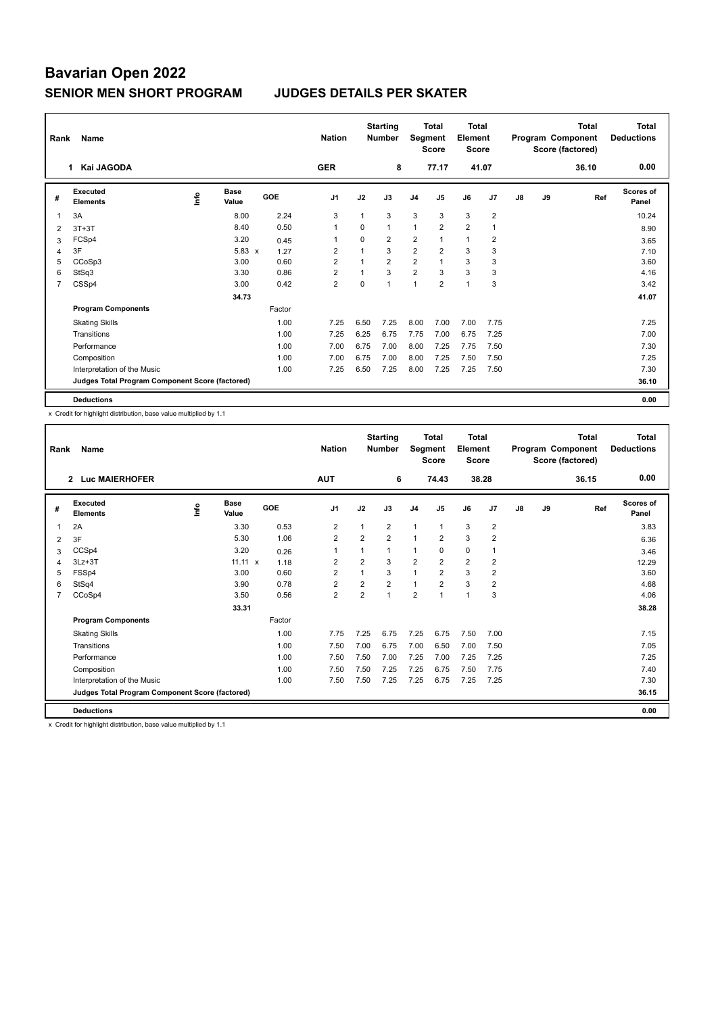# **Bavarian Open 2022 SENIOR MEN SHORT PROGRAM JUDGES DETAILS PER SKATER**

| Rank           | Name                                            |    |                      |        | <b>Nation</b>  |              | <b>Starting</b><br><b>Number</b> | Segment        | <b>Total</b><br><b>Score</b> | <b>Total</b><br>Element<br><b>Score</b> |                |    |    | <b>Total</b><br>Program Component<br>Score (factored) | <b>Total</b><br><b>Deductions</b> |
|----------------|-------------------------------------------------|----|----------------------|--------|----------------|--------------|----------------------------------|----------------|------------------------------|-----------------------------------------|----------------|----|----|-------------------------------------------------------|-----------------------------------|
|                | Kai JAGODA<br>1                                 |    |                      |        | <b>GER</b>     |              | 8                                |                | 77.17                        |                                         | 41.07          |    |    | 36.10                                                 | 0.00                              |
| #              | Executed<br><b>Elements</b>                     | ۴ů | <b>Base</b><br>Value | GOE    | J <sub>1</sub> | J2           | J3                               | J <sub>4</sub> | J5                           | J6                                      | J7             | J8 | J9 | Ref                                                   | Scores of<br>Panel                |
| 1              | 3A                                              |    | 8.00                 | 2.24   | 3              |              | 3                                | 3              | 3                            | 3                                       | $\overline{2}$ |    |    |                                                       | 10.24                             |
| $\overline{2}$ | $3T+3T$                                         |    | 8.40                 | 0.50   | 1              | $\Omega$     | $\mathbf{1}$                     | 1              | 2                            | $\overline{2}$                          | 1              |    |    |                                                       | 8.90                              |
| 3              | FCSp4                                           |    | 3.20                 | 0.45   | 1              | $\Omega$     | $\overline{2}$                   | $\overline{2}$ |                              | $\mathbf{1}$                            | $\overline{2}$ |    |    |                                                       | 3.65                              |
| 4              | 3F                                              |    | $5.83 \times$        | 1.27   | $\overline{2}$ |              | 3                                | 2              | $\overline{2}$               | 3                                       | 3              |    |    |                                                       | 7.10                              |
| 5              | CCoSp3                                          |    | 3.00                 | 0.60   | $\overline{2}$ | 1            | $\overline{2}$                   | $\overline{2}$ |                              | 3                                       | 3              |    |    |                                                       | 3.60                              |
| 6              | StSq3                                           |    | 3.30                 | 0.86   | $\overline{2}$ | $\mathbf{1}$ | 3                                | $\overline{2}$ | 3                            | 3                                       | 3              |    |    |                                                       | 4.16                              |
| 7              | CSSp4                                           |    | 3.00                 | 0.42   | $\overline{2}$ | $\mathbf 0$  | 1                                | 1              | $\overline{2}$               | $\mathbf{1}$                            | 3              |    |    |                                                       | 3.42                              |
|                |                                                 |    | 34.73                |        |                |              |                                  |                |                              |                                         |                |    |    |                                                       | 41.07                             |
|                | <b>Program Components</b>                       |    |                      | Factor |                |              |                                  |                |                              |                                         |                |    |    |                                                       |                                   |
|                | <b>Skating Skills</b>                           |    |                      | 1.00   | 7.25           | 6.50         | 7.25                             | 8.00           | 7.00                         | 7.00                                    | 7.75           |    |    |                                                       | 7.25                              |
|                | Transitions                                     |    |                      | 1.00   | 7.25           | 6.25         | 6.75                             | 7.75           | 7.00                         | 6.75                                    | 7.25           |    |    |                                                       | 7.00                              |
|                | Performance                                     |    |                      | 1.00   | 7.00           | 6.75         | 7.00                             | 8.00           | 7.25                         | 7.75                                    | 7.50           |    |    |                                                       | 7.30                              |
|                | Composition                                     |    |                      | 1.00   | 7.00           | 6.75         | 7.00                             | 8.00           | 7.25                         | 7.50                                    | 7.50           |    |    |                                                       | 7.25                              |
|                | Interpretation of the Music                     |    |                      | 1.00   | 7.25           | 6.50         | 7.25                             | 8.00           | 7.25                         | 7.25                                    | 7.50           |    |    |                                                       | 7.30                              |
|                | Judges Total Program Component Score (factored) |    |                      |        |                |              |                                  |                |                              |                                         |                |    |    |                                                       | 36.10                             |
|                | <b>Deductions</b>                               |    |                      |        |                |              |                                  |                |                              |                                         |                |    |    |                                                       | 0.00                              |

x Credit for highlight distribution, base value multiplied by 1.1

| Rank           | Name                                            |      |                      | <b>Nation</b> | <b>Starting</b><br><b>Number</b> |                | <b>Total</b><br>Segment<br><b>Score</b> |                | <b>Total</b><br>Element<br><b>Score</b> |                | <b>Total</b><br>Program Component<br>Score (factored) |    |    | <b>Total</b><br><b>Deductions</b> |                    |
|----------------|-------------------------------------------------|------|----------------------|---------------|----------------------------------|----------------|-----------------------------------------|----------------|-----------------------------------------|----------------|-------------------------------------------------------|----|----|-----------------------------------|--------------------|
|                | <b>Luc MAIERHOFER</b><br>$\overline{2}$         |      |                      |               | <b>AUT</b>                       |                | 6                                       |                | 74.43                                   |                | 38.28                                                 |    |    | 36.15                             | 0.00               |
| #              | Executed<br><b>Elements</b>                     | lnfo | <b>Base</b><br>Value | GOE           | J <sub>1</sub>                   | J2             | J3                                      | J <sub>4</sub> | J <sub>5</sub>                          | J6             | J7                                                    | J8 | J9 | Ref                               | Scores of<br>Panel |
| 1              | 2A                                              |      | 3.30                 | 0.53          | 2                                | 1              | $\overline{2}$                          | $\mathbf{1}$   | 1                                       | 3              | $\overline{2}$                                        |    |    |                                   | 3.83               |
| 2              | 3F                                              |      | 5.30                 | 1.06          | $\overline{2}$                   | $\overline{2}$ | $\overline{2}$                          | $\mathbf{1}$   | $\overline{2}$                          | 3              | $\overline{2}$                                        |    |    |                                   | 6.36               |
| 3              | CCSp4                                           |      | 3.20                 | 0.26          | $\mathbf{1}$                     | 1              | 1                                       | $\mathbf{1}$   | 0                                       | 0              | 1                                                     |    |    |                                   | 3.46               |
| 4              | $3Lz + 3T$                                      |      | $11.11 \times$       | 1.18          | $\overline{2}$                   | $\overline{2}$ | 3                                       | $\overline{2}$ | $\overline{2}$                          | $\overline{2}$ | $\overline{2}$                                        |    |    |                                   | 12.29              |
| 5              | FSSp4                                           |      | 3.00                 | 0.60          | $\overline{2}$                   | $\overline{1}$ | 3                                       | 1              | $\overline{2}$                          | 3              | $\overline{2}$                                        |    |    |                                   | 3.60               |
| 6              | StSq4                                           |      | 3.90                 | 0.78          | $\overline{2}$                   | $\overline{2}$ | $\overline{2}$                          | $\mathbf{1}$   | $\overline{2}$                          | 3              | $\overline{2}$                                        |    |    |                                   | 4.68               |
| $\overline{7}$ | CCoSp4                                          |      | 3.50                 | 0.56          | $\overline{2}$                   | $\overline{2}$ | $\mathbf{1}$                            | $\overline{2}$ | $\overline{ }$                          | $\mathbf{1}$   | 3                                                     |    |    |                                   | 4.06               |
|                |                                                 |      | 33.31                |               |                                  |                |                                         |                |                                         |                |                                                       |    |    |                                   | 38.28              |
|                | <b>Program Components</b>                       |      |                      | Factor        |                                  |                |                                         |                |                                         |                |                                                       |    |    |                                   |                    |
|                | <b>Skating Skills</b>                           |      |                      | 1.00          | 7.75                             | 7.25           | 6.75                                    | 7.25           | 6.75                                    | 7.50           | 7.00                                                  |    |    |                                   | 7.15               |
|                | Transitions                                     |      |                      | 1.00          | 7.50                             | 7.00           | 6.75                                    | 7.00           | 6.50                                    | 7.00           | 7.50                                                  |    |    |                                   | 7.05               |
|                | Performance                                     |      |                      | 1.00          | 7.50                             | 7.50           | 7.00                                    | 7.25           | 7.00                                    | 7.25           | 7.25                                                  |    |    |                                   | 7.25               |
|                | Composition                                     |      |                      | 1.00          | 7.50                             | 7.50           | 7.25                                    | 7.25           | 6.75                                    | 7.50           | 7.75                                                  |    |    |                                   | 7.40               |
|                | Interpretation of the Music                     |      |                      | 1.00          | 7.50                             | 7.50           | 7.25                                    | 7.25           | 6.75                                    | 7.25           | 7.25                                                  |    |    |                                   | 7.30               |
|                | Judges Total Program Component Score (factored) |      |                      |               |                                  |                |                                         |                |                                         |                |                                                       |    |    |                                   | 36.15              |
|                | <b>Deductions</b>                               |      |                      |               |                                  |                |                                         |                |                                         |                |                                                       |    |    |                                   | 0.00               |

x Credit for highlight distribution, base value multiplied by 1.1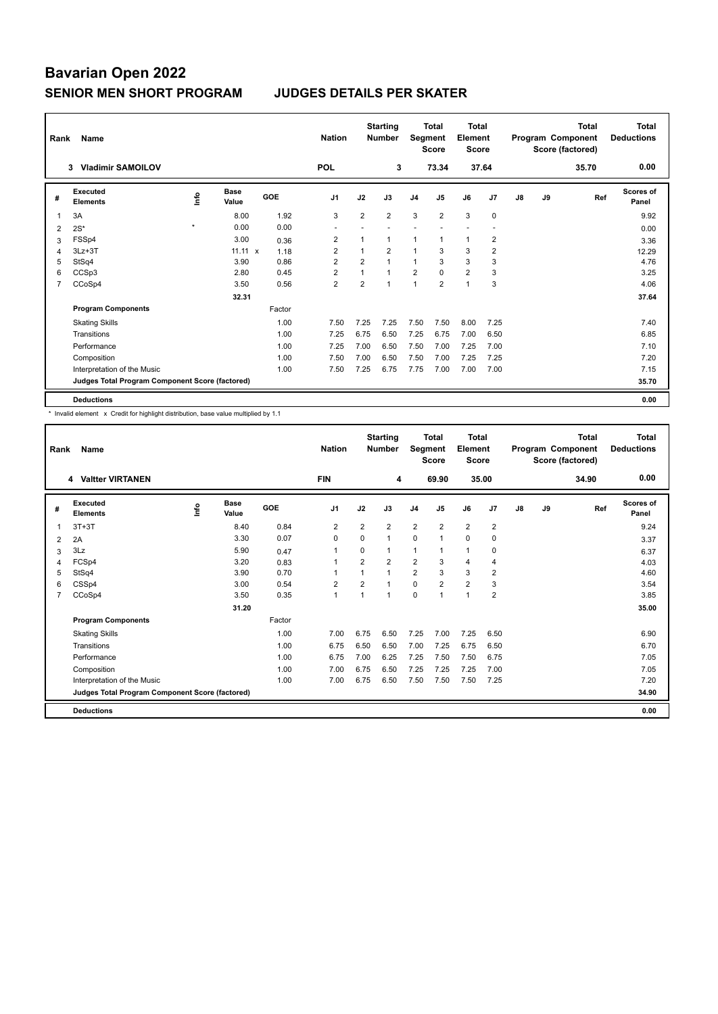# **Bavarian Open 2022 SENIOR MEN SHORT PROGRAM JUDGES DETAILS PER SKATER**

| Rank           | Name                                            |         |                      |        | <b>Nation</b>  |                | <b>Starting</b><br><b>Number</b> | Segment        | <b>Total</b><br><b>Score</b> | <b>Total</b><br>Element<br><b>Score</b> |                |    |    | <b>Total</b><br>Program Component<br>Score (factored) | <b>Total</b><br><b>Deductions</b> |
|----------------|-------------------------------------------------|---------|----------------------|--------|----------------|----------------|----------------------------------|----------------|------------------------------|-----------------------------------------|----------------|----|----|-------------------------------------------------------|-----------------------------------|
|                | <b>Vladimir SAMOILOV</b><br>3                   |         |                      |        | <b>POL</b>     |                | 3                                |                | 73.34                        |                                         | 37.64          |    |    | 35.70                                                 | 0.00                              |
| #              | Executed<br><b>Elements</b>                     | ۴       | <b>Base</b><br>Value | GOE    | J <sub>1</sub> | J2             | J3                               | J <sub>4</sub> | J5                           | J6                                      | J <sub>7</sub> | J8 | J9 | Ref                                                   | <b>Scores of</b><br>Panel         |
| 1              | 3A                                              |         | 8.00                 | 1.92   | 3              | $\overline{2}$ | $\overline{2}$                   | 3              | $\overline{2}$               | 3                                       | $\mathbf 0$    |    |    |                                                       | 9.92                              |
| 2              | $2S^*$                                          | $\star$ | 0.00                 | 0.00   | ٠              |                |                                  |                |                              |                                         |                |    |    |                                                       | 0.00                              |
| 3              | FSSp4                                           |         | 3.00                 | 0.36   | 2              |                | 1                                | 1              | $\mathbf 1$                  | $\mathbf{1}$                            | 2              |    |    |                                                       | 3.36                              |
| 4              | $3Lz + 3T$                                      |         | $11.11 \times$       | 1.18   | $\overline{2}$ |                | $\overline{2}$                   | $\mathbf{1}$   | 3                            | 3                                       | $\overline{2}$ |    |    |                                                       | 12.29                             |
| 5              | StSq4                                           |         | 3.90                 | 0.86   | $\overline{2}$ | $\overline{2}$ | $\mathbf{1}$                     | $\mathbf{1}$   | 3                            | 3                                       | 3              |    |    |                                                       | 4.76                              |
| 6              | CCSp3                                           |         | 2.80                 | 0.45   | $\overline{2}$ | 1              | $\mathbf{1}$                     | $\overline{2}$ | $\Omega$                     | $\overline{2}$                          | 3              |    |    |                                                       | 3.25                              |
| $\overline{7}$ | CCoSp4                                          |         | 3.50                 | 0.56   | $\overline{2}$ | 2              | $\mathbf{1}$                     | 1              | $\overline{2}$               | $\mathbf{1}$                            | 3              |    |    |                                                       | 4.06                              |
|                |                                                 |         | 32.31                |        |                |                |                                  |                |                              |                                         |                |    |    |                                                       | 37.64                             |
|                | <b>Program Components</b>                       |         |                      | Factor |                |                |                                  |                |                              |                                         |                |    |    |                                                       |                                   |
|                | <b>Skating Skills</b>                           |         |                      | 1.00   | 7.50           | 7.25           | 7.25                             | 7.50           | 7.50                         | 8.00                                    | 7.25           |    |    |                                                       | 7.40                              |
|                | Transitions                                     |         |                      | 1.00   | 7.25           | 6.75           | 6.50                             | 7.25           | 6.75                         | 7.00                                    | 6.50           |    |    |                                                       | 6.85                              |
|                | Performance                                     |         |                      | 1.00   | 7.25           | 7.00           | 6.50                             | 7.50           | 7.00                         | 7.25                                    | 7.00           |    |    |                                                       | 7.10                              |
|                | Composition                                     |         |                      | 1.00   | 7.50           | 7.00           | 6.50                             | 7.50           | 7.00                         | 7.25                                    | 7.25           |    |    |                                                       | 7.20                              |
|                | Interpretation of the Music                     |         |                      | 1.00   | 7.50           | 7.25           | 6.75                             | 7.75           | 7.00                         | 7.00                                    | 7.00           |    |    |                                                       | 7.15                              |
|                | Judges Total Program Component Score (factored) |         |                      |        |                |                |                                  |                |                              |                                         |                |    |    |                                                       | 35.70                             |
|                | <b>Deductions</b>                               |         |                      |        |                |                |                                  |                |                              |                                         |                |    |    |                                                       | 0.00                              |

\* Invalid element x Credit for highlight distribution, base value multiplied by 1.1

| Rank           | Name                                            |      |               |        | <b>Starting</b><br><b>Nation</b><br><b>Number</b> |                |                | <b>Total</b><br>Segment<br><b>Score</b> |                | Total<br>Element<br><b>Score</b> | Total<br>Program Component<br>Score (factored) |    |    | <b>Total</b><br><b>Deductions</b> |                    |
|----------------|-------------------------------------------------|------|---------------|--------|---------------------------------------------------|----------------|----------------|-----------------------------------------|----------------|----------------------------------|------------------------------------------------|----|----|-----------------------------------|--------------------|
|                | 4 Valtter VIRTANEN                              |      |               |        | <b>FIN</b>                                        |                | 4              |                                         | 69.90          |                                  | 35.00                                          |    |    | 34.90                             | 0.00               |
| #              | Executed<br><b>Elements</b>                     | lnfo | Base<br>Value | GOE    | J <sub>1</sub>                                    | J2             | J3             | J <sub>4</sub>                          | J5             | J6                               | J7                                             | J8 | J9 | Ref                               | Scores of<br>Panel |
| 1              | $3T+3T$                                         |      | 8.40          | 0.84   | 2                                                 | $\overline{2}$ | $\overline{2}$ | 2                                       | $\overline{2}$ | $\overline{2}$                   | $\overline{2}$                                 |    |    |                                   | 9.24               |
| 2              | 2A                                              |      | 3.30          | 0.07   | 0                                                 | 0              | 1              | $\mathbf 0$                             | $\overline{1}$ | $\mathbf 0$                      | 0                                              |    |    |                                   | 3.37               |
| 3              | 3Lz                                             |      | 5.90          | 0.47   | 1                                                 | $\Omega$       | 1              | $\mathbf{1}$                            | 1              | $\mathbf{1}$                     | 0                                              |    |    |                                   | 6.37               |
| 4              | FCSp4                                           |      | 3.20          | 0.83   | $\mathbf{1}$                                      | $\overline{2}$ | $\overline{2}$ | $\overline{2}$                          | 3              | $\overline{4}$                   | $\overline{4}$                                 |    |    |                                   | 4.03               |
| 5              | StSq4                                           |      | 3.90          | 0.70   | 1                                                 | 1              | 1              | $\overline{2}$                          | 3              | 3                                | $\overline{2}$                                 |    |    |                                   | 4.60               |
| 6              | CSSp4                                           |      | 3.00          | 0.54   | $\overline{2}$                                    | $\overline{2}$ | 1              | $\mathbf 0$                             | $\overline{2}$ | $\overline{2}$                   | 3                                              |    |    |                                   | 3.54               |
| $\overline{7}$ | CCoSp4                                          |      | 3.50          | 0.35   | $\mathbf{1}$                                      | $\overline{1}$ | 1              | $\Omega$                                | 1              | $\mathbf{1}$                     | $\overline{2}$                                 |    |    |                                   | 3.85               |
|                |                                                 |      | 31.20         |        |                                                   |                |                |                                         |                |                                  |                                                |    |    |                                   | 35.00              |
|                | <b>Program Components</b>                       |      |               | Factor |                                                   |                |                |                                         |                |                                  |                                                |    |    |                                   |                    |
|                | <b>Skating Skills</b>                           |      |               | 1.00   | 7.00                                              | 6.75           | 6.50           | 7.25                                    | 7.00           | 7.25                             | 6.50                                           |    |    |                                   | 6.90               |
|                | Transitions                                     |      |               | 1.00   | 6.75                                              | 6.50           | 6.50           | 7.00                                    | 7.25           | 6.75                             | 6.50                                           |    |    |                                   | 6.70               |
|                | Performance                                     |      |               | 1.00   | 6.75                                              | 7.00           | 6.25           | 7.25                                    | 7.50           | 7.50                             | 6.75                                           |    |    |                                   | 7.05               |
|                | Composition                                     |      |               | 1.00   | 7.00                                              | 6.75           | 6.50           | 7.25                                    | 7.25           | 7.25                             | 7.00                                           |    |    |                                   | 7.05               |
|                | Interpretation of the Music                     |      |               | 1.00   | 7.00                                              | 6.75           | 6.50           | 7.50                                    | 7.50           | 7.50                             | 7.25                                           |    |    |                                   | 7.20               |
|                | Judges Total Program Component Score (factored) |      |               |        |                                                   |                |                |                                         |                |                                  |                                                |    |    |                                   | 34.90              |
|                | <b>Deductions</b>                               |      |               |        |                                                   |                |                |                                         |                |                                  |                                                |    |    |                                   | 0.00               |